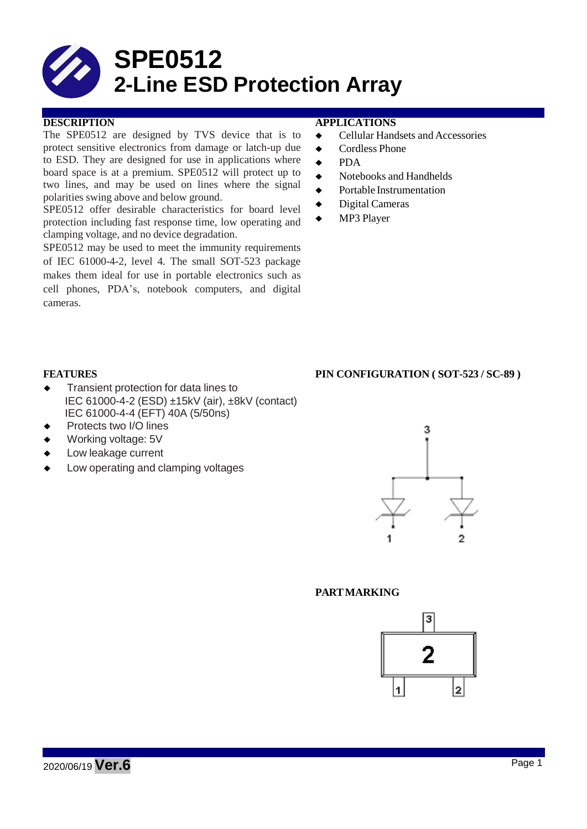

The SPE0512 are designed by TVS device that is to protect sensitive electronics from damage or latch-up due to ESD. They are designed for use in applications where board space is at a premium. SPE0512 will protect up to two lines, and may be used on lines where the signal polarities swing above and below ground.

SPE0512 offer desirable characteristics for board level protection including fast response time, low operating and clamping voltage, and no device degradation.

SPE0512 may be used to meet the immunity requirements of IEC 61000-4-2, level 4. The small SOT-523 package makes them ideal for use in portable electronics such as cell phones, PDA's, notebook computers, and digital cameras.

## **DESCRIPTION APPLICATIONS**

- ◆ Cellular Handsets and Accessories
- ◆ Cordless Phone
- ◆ PDA
- ◆ Notebooks and Handhelds
- ◆ Portable Instrumentation
- Digital Cameras
- ◆ MP3 Player

- ◆ Transient protection for data lines to IEC 61000-4-2 (ESD) ±15kV (air), ±8kV (contact) IEC 61000-4-4 (EFT) 40A (5/50ns)
- Protects two I/O lines
- Working voltage: 5V
- Low leakage current
- Low operating and clamping voltages



### **PARTMARKING**



# **FEATURES PIN CONFIGURATION ( SOT-523 / SC-89 )**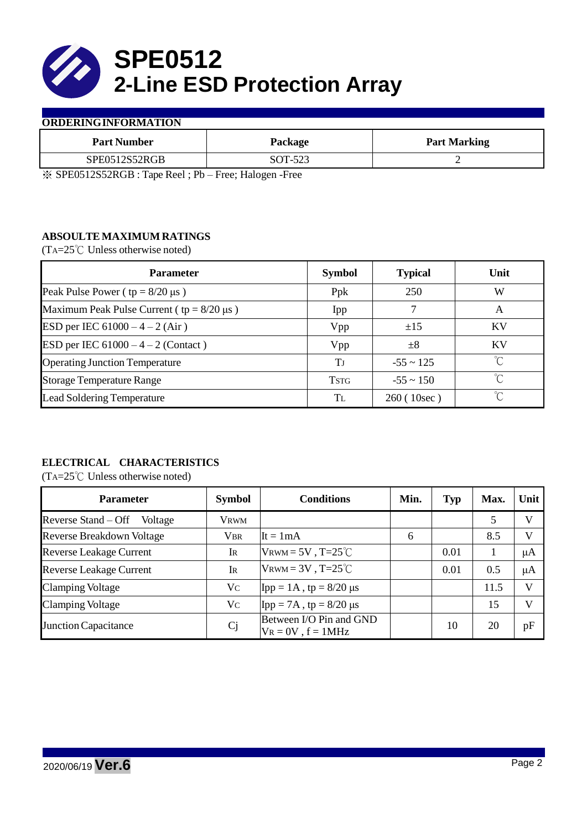

## **ORDERINGINFORMATION**

| Package | <b>Part Marking</b> |  |  |
|---------|---------------------|--|--|
| SOT-523 |                     |  |  |
|         | $\sim$<br>$- - -$   |  |  |

※ SPE0512S52RGB : Tape Reel ; Pb – Free; Halogen -Free

# **ABSOULTE MAXIMUM RATINGS**

(TA=25℃ Unless otherwise noted)

| <b>Parameter</b>                                 | <b>Symbol</b> | <b>Typical</b> | Unit        |
|--------------------------------------------------|---------------|----------------|-------------|
| Peak Pulse Power ( $tp = 8/20 \mu s$ )           | Ppk           | 250            | W           |
| Maximum Peak Pulse Current ( $tp = 8/20 \mu s$ ) | Ipp           |                | A           |
| ESD per IEC $61000 - 4 - 2$ (Air)                | Vpp           | ±15            | <b>KV</b>   |
| ESD per IEC $61000 - 4 - 2$ (Contact)            | Vpp           | $\pm 8$        | KV          |
| <b>Operating Junction Temperature</b>            | Tі            | $-55 \sim 125$ | $\hat{C}$   |
| <b>Storage Temperature Range</b>                 | <b>TSTG</b>   | $-55 \sim 150$ | $^{\circ}C$ |
| <b>Lead Soldering Temperature</b>                | Tī.           | 260(10sec)     | °∩          |

# **ELECTRICAL CHARACTERISTICS**

(TA=25℃ Unless otherwise noted)

| <b>Parameter</b>                 | <b>Symbol</b>  | <b>Conditions</b>                                  | Min. | Typ  | Max. | Unit    |
|----------------------------------|----------------|----------------------------------------------------|------|------|------|---------|
| Reverse Stand – Off<br>Voltage   | Vrwm           |                                                    |      |      | 5    | V       |
| <b>Reverse Breakdown Voltage</b> | <b>VBR</b>     | $It = 1mA$                                         | 6    |      | 8.5  | V       |
| <b>Reverse Leakage Current</b>   | Ir             | VRWM = $5V$ , T= $25^{\circ}$ C                    |      | 0.01 |      | $\mu A$ |
| <b>Reverse Leakage Current</b>   | $\rm I\!R$     | $V_{\text{RWM}} = 3V$ , T=25°C                     |      | 0.01 | 0.5  | μA      |
| <b>Clamping Voltage</b>          | V <sub>C</sub> | $\text{Ipp} = 1 \text{A}$ , tp = 8/20 µs           |      |      | 11.5 | V       |
| <b>Clamping Voltage</b>          | Vc             | $\text{Ipp} = 7\text{A}$ , tp = 8/20 µs            |      |      | 15   | V       |
| <b>Junction Capacitance</b>      | Cj             | Between I/O Pin and GND<br>$V_R = 0V$ , $f = 1MHz$ |      | 10   | 20   | pF      |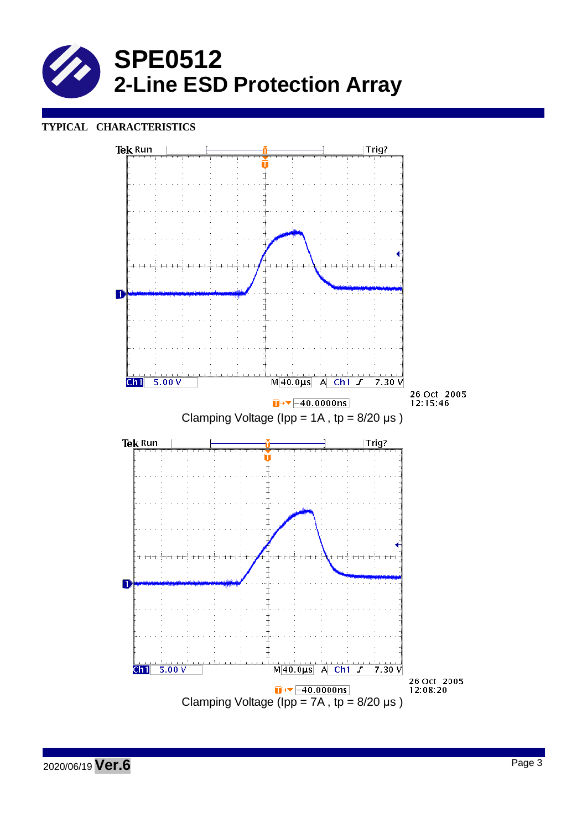

## **TYPICAL CHARACTERISTICS**

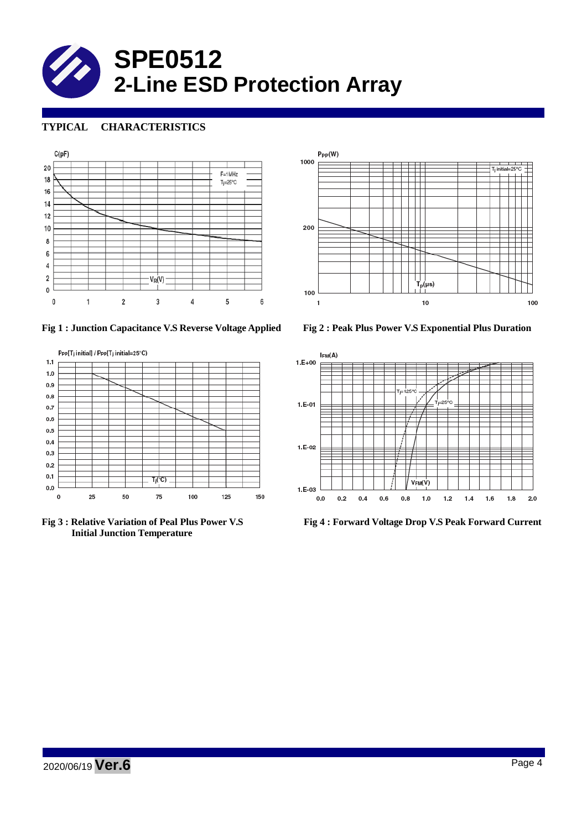

# **TYPICAL CHARACTERISTICS**







**Initial Junction Temperature**





**Fig 3 : Relative Variation of Peal Plus Power V.S Fig 4 : Forward Voltage Drop V.S Peak Forward Current**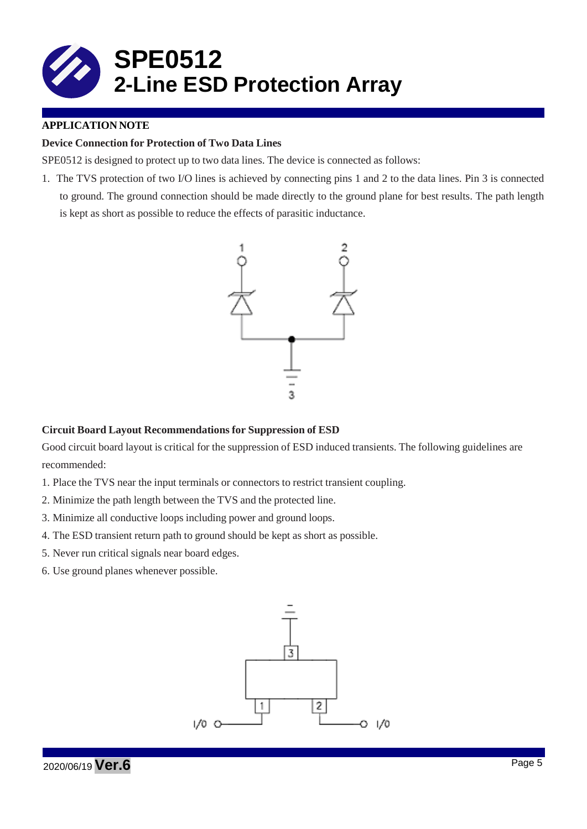

# **APPLICATION NOTE**

## **Device Connection for Protection of Two Data Lines**

SPE0512 is designed to protect up to two data lines. The device is connected as follows:

1. The TVS protection of two I/O lines is achieved by connecting pins 1 and 2 to the data lines. Pin 3 is connected to ground. The ground connection should be made directly to the ground plane for best results. The path length is kept as short as possible to reduce the effects of parasitic inductance.



### **Circuit Board Layout Recommendations for Suppression of ESD**

Good circuit board layout is critical for the suppression of ESD induced transients. The following guidelines are recommended:

- 1. Place the TVS near the input terminals or connectors to restrict transient coupling.
- 2. Minimize the path length between the TVS and the protected line.
- 3. Minimize all conductive loops including power and ground loops.
- 4. The ESD transient return path to ground should be kept as short as possible.
- 5. Never run critical signals near board edges.
- 6. Use ground planes whenever possible.